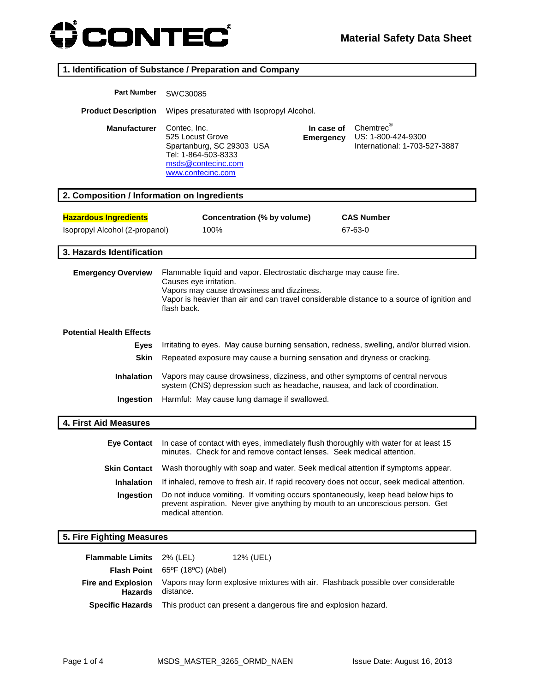

### **1. Identification of Substance / Preparation and Company**

| <b>Part Number</b>                          | SWC30085                                                                                                                                                                                                                                                 |
|---------------------------------------------|----------------------------------------------------------------------------------------------------------------------------------------------------------------------------------------------------------------------------------------------------------|
| <b>Product Description</b>                  | Wipes presaturated with Isopropyl Alcohol.                                                                                                                                                                                                               |
| <b>Manufacturer</b>                         | Chemtrec®<br>Contec, Inc.<br>In case of<br>525 Locust Grove<br>US: 1-800-424-9300<br><b>Emergency</b><br>Spartanburg, SC 29303 USA<br>International: 1-703-527-3887<br>Tel: 1-864-503-8333<br>msds@contecinc.com<br>www.contecinc.com                    |
| 2. Composition / Information on Ingredients |                                                                                                                                                                                                                                                          |
| <b>Hazardous Ingredients</b>                | Concentration (% by volume)<br><b>CAS Number</b>                                                                                                                                                                                                         |
| Isopropyl Alcohol (2-propanol)              | 100%<br>67-63-0                                                                                                                                                                                                                                          |
| 3. Hazards Identification                   |                                                                                                                                                                                                                                                          |
| <b>Emergency Overview</b>                   | Flammable liquid and vapor. Electrostatic discharge may cause fire.<br>Causes eye irritation.<br>Vapors may cause drowsiness and dizziness.<br>Vapor is heavier than air and can travel considerable distance to a source of ignition and<br>flash back. |
| <b>Potential Health Effects</b>             |                                                                                                                                                                                                                                                          |
| <b>Eyes</b>                                 | Irritating to eyes. May cause burning sensation, redness, swelling, and/or blurred vision.                                                                                                                                                               |
| <b>Skin</b>                                 | Repeated exposure may cause a burning sensation and dryness or cracking.                                                                                                                                                                                 |
| Inhalation                                  | Vapors may cause drowsiness, dizziness, and other symptoms of central nervous<br>system (CNS) depression such as headache, nausea, and lack of coordination.                                                                                             |
| Ingestion                                   | Harmful: May cause lung damage if swallowed.                                                                                                                                                                                                             |
| 4. First Aid Measures                       |                                                                                                                                                                                                                                                          |
| <b>Eye Contact</b>                          | In case of contact with eyes, immediately flush thoroughly with water for at least 15<br>minutes. Check for and remove contact lenses. Seek medical attention.                                                                                           |
| Skin Contact                                | Wash thoroughly with soap and water. Seek medical attention if symptoms appear.                                                                                                                                                                          |
| <b>Inhalation</b>                           | If inhaled, remove to fresh air. If rapid recovery does not occur, seek medical attention.                                                                                                                                                               |
| Ingestion                                   | Do not induce vomiting. If vomiting occurs spontaneously, keep head below hips to<br>prevent aspiration. Never give anything by mouth to an unconscious person. Get<br>medical attention.                                                                |
| 5. Fire Fighting Measures                   |                                                                                                                                                                                                                                                          |
| <b>Flammable Limits</b>                     | 2% (LEL)<br>12% (UEL)                                                                                                                                                                                                                                    |

| <b>Flammable Limits</b> 2% (LEL) |                                                           | 12% (UEL)                                                                               |                                                                                                             |
|----------------------------------|-----------------------------------------------------------|-----------------------------------------------------------------------------------------|-------------------------------------------------------------------------------------------------------------|
|                                  | <b>Flash Point</b> $65^{\circ}F$ (18 $^{\circ}C$ ) (Abel) |                                                                                         |                                                                                                             |
| Hazards                          | distance.                                                 |                                                                                         | <b>Fire and Explosion</b> Vapors may form explosive mixtures with air. Flashback possible over considerable |
|                                  |                                                           | <b>Specific Hazards</b> This product can present a dangerous fire and explosion hazard. |                                                                                                             |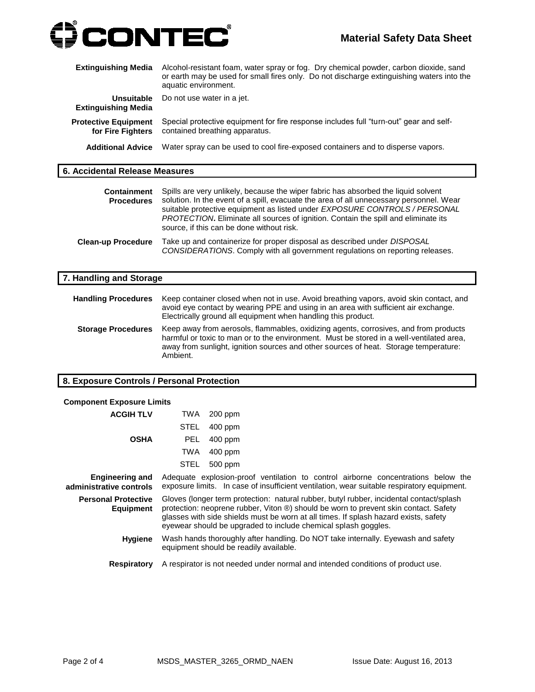

| <b>Extinguishing Media</b>                       | Alcohol-resistant foam, water spray or fog. Dry chemical powder, carbon dioxide, sand<br>or earth may be used for small fires only. Do not discharge extinguishing waters into the<br>aquatic environment. |
|--------------------------------------------------|------------------------------------------------------------------------------------------------------------------------------------------------------------------------------------------------------------|
| Unsuitable<br><b>Extinguishing Media</b>         | Do not use water in a jet.                                                                                                                                                                                 |
| <b>Protective Equipment</b><br>for Fire Fighters | Special protective equipment for fire response includes full "turn-out" gear and self-<br>contained breathing apparatus.                                                                                   |
| <b>Additional Advice</b>                         | Water spray can be used to cool fire-exposed containers and to disperse vapors.                                                                                                                            |

#### **6. Accidental Release Measures**

| <b>Containment</b><br><b>Procedures</b> | Spills are very unlikely, because the wiper fabric has absorbed the liquid solvent<br>solution. In the event of a spill, evacuate the area of all unnecessary personnel. Wear<br>suitable protective equipment as listed under EXPOSURE CONTROLS / PERSONAL<br><i>PROTECTION</i> . Eliminate all sources of ignition. Contain the spill and eliminate its<br>source, if this can be done without risk. |
|-----------------------------------------|--------------------------------------------------------------------------------------------------------------------------------------------------------------------------------------------------------------------------------------------------------------------------------------------------------------------------------------------------------------------------------------------------------|
| <b>Clean-up Procedure</b>               | Take up and containerize for proper disposal as described under <i>DISPOSAL</i><br>CONSIDERATIONS. Comply with all government regulations on reporting releases.                                                                                                                                                                                                                                       |

| 7. Handling and Storage    |                                                                                                                                                                                                                                                                                      |
|----------------------------|--------------------------------------------------------------------------------------------------------------------------------------------------------------------------------------------------------------------------------------------------------------------------------------|
| <b>Handling Procedures</b> | Keep container closed when not in use. Avoid breathing vapors, avoid skin contact, and<br>avoid eye contact by wearing PPE and using in an area with sufficient air exchange.<br>Electrically ground all equipment when handling this product.                                       |
| <b>Storage Procedures</b>  | Keep away from aerosols, flammables, oxidizing agents, corrosives, and from products<br>harmful or toxic to man or to the environment. Must be stored in a well-ventilated area,<br>away from sunlight, ignition sources and other sources of heat. Storage temperature:<br>Ambient. |

# **8. Exposure Controls / Personal Protection**

| <b>Component Exposure Limits</b>                  |            |                                                                                                                                                                                                                                                                                                                                           |
|---------------------------------------------------|------------|-------------------------------------------------------------------------------------------------------------------------------------------------------------------------------------------------------------------------------------------------------------------------------------------------------------------------------------------|
| <b>ACGIH TLV</b>                                  | TWA        | $200$ ppm                                                                                                                                                                                                                                                                                                                                 |
|                                                   | STEL       | $400$ ppm                                                                                                                                                                                                                                                                                                                                 |
| <b>OSHA</b>                                       | <b>PEL</b> | $400$ ppm                                                                                                                                                                                                                                                                                                                                 |
|                                                   | <b>TWA</b> | 400 ppm                                                                                                                                                                                                                                                                                                                                   |
|                                                   | STEL       | 500 ppm                                                                                                                                                                                                                                                                                                                                   |
| <b>Engineering and</b><br>administrative controls |            | Adequate explosion-proof ventilation to control airborne concentrations below the<br>exposure limits. In case of insufficient ventilation, wear suitable respiratory equipment.                                                                                                                                                           |
| <b>Personal Protective</b><br>Equipment           |            | Gloves (longer term protection: natural rubber, butyl rubber, incidental contact/splash<br>protection: neoprene rubber, Viton ®) should be worn to prevent skin contact. Safety<br>glasses with side shields must be worn at all times. If splash hazard exists, safety<br>eyewear should be upgraded to include chemical splash goggles. |
| <b>Hygiene</b>                                    |            | Wash hands thoroughly after handling. Do NOT take internally. Eyewash and safety<br>equipment should be readily available.                                                                                                                                                                                                                |
| <b>Respiratory</b>                                |            | A respirator is not needed under normal and intended conditions of product use.                                                                                                                                                                                                                                                           |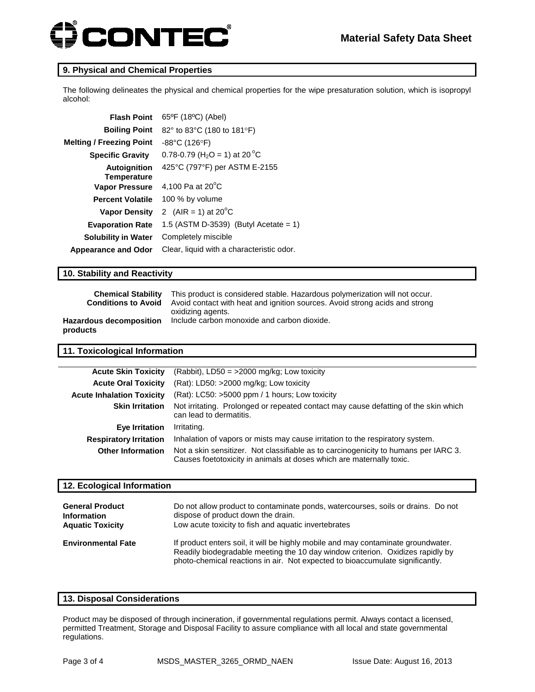# **CONTEC®**

#### **9. Physical and Chemical Properties**

The following delineates the physical and chemical properties for the wipe presaturation solution, which is isopropyl alcohol:

| <b>Flash Point</b>                        | 65°F (18°C) (Abel)                                    |
|-------------------------------------------|-------------------------------------------------------|
| <b>Boiling Point</b>                      | 82° to 83°C (180 to 181°F)                            |
| <b>Melting / Freezing Point</b>           | $-88^{\circ}$ C (126 $^{\circ}$ F)                    |
| <b>Specific Gravity</b>                   | 0.78-0.79 (H <sub>2</sub> O = 1) at 20 <sup>o</sup> C |
| <b>Autoignition</b><br><b>Temperature</b> | 425°C (797°F) per ASTM E-2155                         |
| <b>Vapor Pressure</b>                     | 4,100 Pa at $20^{\circ}$ C                            |
| <b>Percent Volatile</b>                   | 100 % by volume                                       |
| <b>Vapor Density</b>                      | 2 (AIR = 1) at $20^{\circ}$ C                         |
| <b>Evaporation Rate</b>                   | 1.5 (ASTM D-3539) (Butyl Acetate = 1)                 |
| <b>Solubility in Water</b>                | Completely miscible                                   |
| <b>Appearance and Odor</b>                | Clear, liquid with a characteristic odor.             |

#### **10. Stability and Reactivity**

| <b>Chemical Stability</b>      | This product is considered stable. Hazardous polymerization will not occur. |
|--------------------------------|-----------------------------------------------------------------------------|
| <b>Conditions to Avoid</b>     | Avoid contact with heat and ignition sources. Avoid strong acids and strong |
| <b>Hazardous decomposition</b> | oxidizing agents.                                                           |
| products                       | Include carbon monoxide and carbon dioxide.                                 |

#### **11. Toxicological Information**

| <b>Acute Skin Toxicity</b>       | $(Rabbit)$ , LD50 = >2000 mg/kg; Low toxicity                                                                                                               |
|----------------------------------|-------------------------------------------------------------------------------------------------------------------------------------------------------------|
| <b>Acute Oral Toxicity</b>       | $(Rat)$ : LD50: >2000 mg/kg; Low toxicity                                                                                                                   |
| <b>Acute Inhalation Toxicity</b> | (Rat): LC50: >5000 ppm / 1 hours; Low toxicity                                                                                                              |
| <b>Skin Irritation</b>           | Not irritating. Prolonged or repeated contact may cause defatting of the skin which<br>can lead to dermatitis.                                              |
| Eye Irritation                   | Irritating.                                                                                                                                                 |
| <b>Respiratory Irritation</b>    | Inhalation of vapors or mists may cause irritation to the respiratory system.                                                                               |
| <b>Other Information</b>         | Not a skin sensitizer. Not classifiable as to carcinogenicity to humans per IARC 3.<br>Causes foetotoxicity in animals at doses which are maternally toxic. |
|                                  |                                                                                                                                                             |

#### **12. Ecological Information**

| <b>General Product</b>    | Do not allow product to contaminate ponds, watercourses, soils or drains. Do not                                                                                                                                                                     |
|---------------------------|------------------------------------------------------------------------------------------------------------------------------------------------------------------------------------------------------------------------------------------------------|
| <b>Information</b>        | dispose of product down the drain.                                                                                                                                                                                                                   |
| <b>Aquatic Toxicity</b>   | Low acute toxicity to fish and aquatic invertebrates                                                                                                                                                                                                 |
| <b>Environmental Fate</b> | If product enters soil, it will be highly mobile and may contaminate groundwater.<br>Readily biodegradable meeting the 10 day window criterion. Oxidizes rapidly by<br>photo-chemical reactions in air. Not expected to bioaccumulate significantly. |

#### **13. Disposal Considerations**

Product may be disposed of through incineration, if governmental regulations permit. Always contact a licensed, permitted Treatment, Storage and Disposal Facility to assure compliance with all local and state governmental regulations.